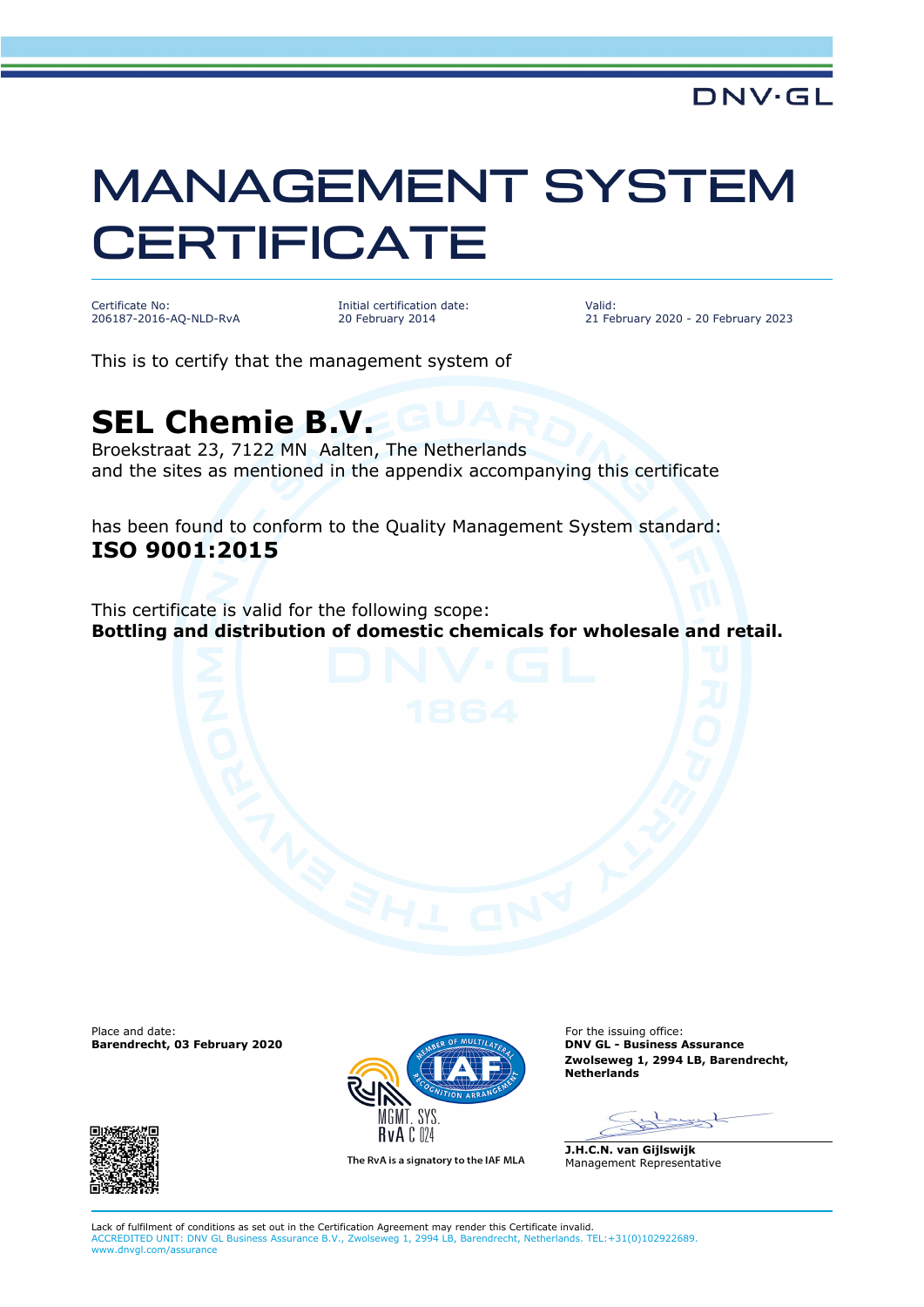## MANAGEMENT SYSTEM **CERTIFICATE**

Certificate No: 206187-2016-AQ-NLD-RvA Initial certification date: 20 February 2014

Valid: 21 February 2020 - 20 February 2023

This is to certify that the management system of

## **SEL Chemie B.V.**

Broekstraat 23, 7122 MN Aalten, The Netherlands and the sites as mentioned in the appendix accompanying this certificate

has been found to conform to the Quality Management System standard: **ISO 9001:2015**

This certificate is valid for the following scope: **Bottling and distribution of domestic chemicals for wholesale and retail.** 

Place and date: For the issuing office:<br> **Barendrecht, 03 February 2020 Canadian Control of the issuing office:** For the issuing office: **Barendrecht, 03 February 2020** 





The RvA is a signatory to the IAF MLA

**Zwolseweg 1, 2994 LB, Barendrecht, Netherlands**

=St

**J.H.C.N. van Gijlswijk** Management Representative

Lack of fulfilment of conditions as set out in the Certification Agreement may render this Certificate invalid. ACCREDITED UNIT: DNV GL Business Assurance B.V., Zwolseweg 1, 2994 LB, Barendrecht, Netherlands. TEL:+31(0)102922689. www.dnvgl.com/assurance